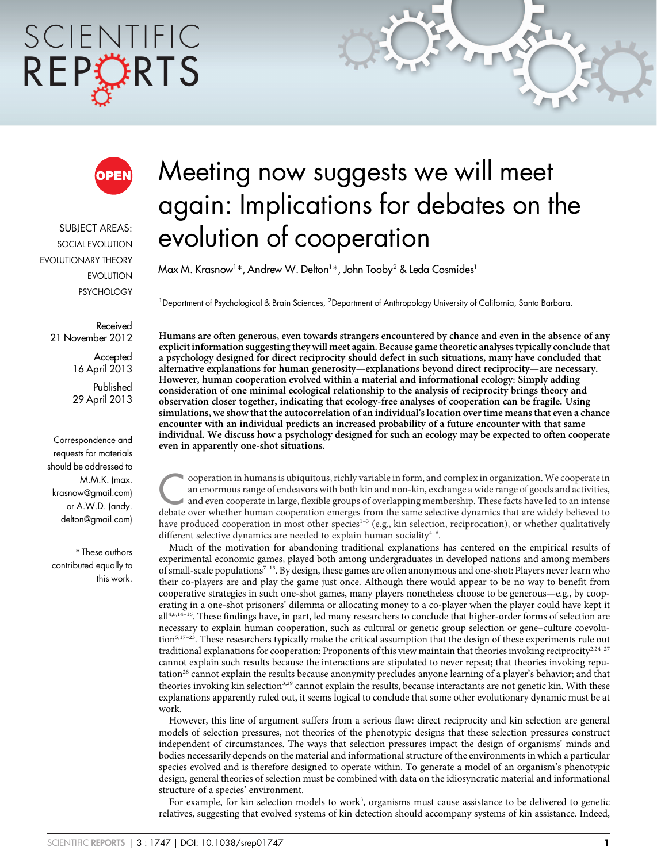# SCIENTIFIC REPORTS



SUBJECT AREAS: SOCIAL EVOLUTION EVOLUTIONARY THEORY EVOLUTION **PSYCHOLOGY** 

> Received 21 November 2012

> > **Accepted** 16 April 2013

Published 29 April 2013

Correspondence and requests for materials should be addressed to M.M.K. (max. krasnow@gmail.com) or A.W.D. (andy. delton@gmail.com)

\* These authors contributed equally to this work.

# Meeting now suggests we will meet again: Implications for debates on the evolution of cooperation

Max M. Krasnow1\*, Andrew W. Delton1\*, John Tooby<sup>2</sup> & Leda Cosmides1

<sup>1</sup>Department of Psychological & Brain Sciences, <sup>2</sup>Department of Anthropology University of California, Santa Barbara.

Humans are often generous, even towards strangers encountered by chance and even in the absence of any explicit information suggesting they will meet again. Because game theoretic analyses typically conclude that a psychology designed for direct reciprocity should defect in such situations, many have concluded that alternative explanations for human generosity—explanations beyond direct reciprocity—are necessary. However, human cooperation evolved within a material and informational ecology: Simply adding consideration of one minimal ecological relationship to the analysis of reciprocity brings theory and observation closer together, indicating that ecology-free analyses of cooperation can be fragile. Using simulations, we show that the autocorrelation of an individual's location over time means that even a chance encounter with an individual predicts an increased probability of a future encounter with that same individual. We discuss how a psychology designed for such an ecology may be expected to often cooperate even in apparently one-shot situations.

operation in humans is ubiquitous, richly variable in form, and complex in organization. We cooperate in and even cooperate in large, flexible groups of overlapping membership. These facts have led to an intense debate ove an enormous range of endeavors with both kin and non-kin, exchange a wide range of goods and activities, debate over whether human cooperation emerges from the same selective dynamics that are widely believed to have produced cooperation in most other species<sup>1-3</sup> (e.g., kin selection, reciprocation), or whether qualitatively different selective dynamics are needed to explain human sociality<sup>4-6</sup>.

Much of the motivation for abandoning traditional explanations has centered on the empirical results of experimental economic games, played both among undergraduates in developed nations and among members of small-scale populations<sup>7-13</sup>. By design, these games are often anonymous and one-shot: Players never learn who their co-players are and play the game just once. Although there would appear to be no way to benefit from cooperative strategies in such one-shot games, many players nonetheless choose to be generous—e.g., by cooperating in a one-shot prisoners' dilemma or allocating money to a co-player when the player could have kept it all<sup>4,6,14–16</sup>. These findings have, in part, led many researchers to conclude that higher-order forms of selection are necessary to explain human cooperation, such as cultural or genetic group selection or gene–culture coevolution<sup>5,17–23</sup>. These researchers typically make the critical assumption that the design of these experiments rule out traditional explanations for cooperation: Proponents of this view maintain that theories invoking reciprocity<sup>2,24-27</sup> cannot explain such results because the interactions are stipulated to never repeat; that theories invoking reputation<sup>28</sup> cannot explain the results because anonymity precludes anyone learning of a player's behavior; and that theories invoking kin selection<sup>3,29</sup> cannot explain the results, because interactants are not genetic kin. With these explanations apparently ruled out, it seems logical to conclude that some other evolutionary dynamic must be at work.

However, this line of argument suffers from a serious flaw: direct reciprocity and kin selection are general models of selection pressures, not theories of the phenotypic designs that these selection pressures construct independent of circumstances. The ways that selection pressures impact the design of organisms' minds and bodies necessarily depends on the material and informational structure of the environments in which a particular species evolved and is therefore designed to operate within. To generate a model of an organism's phenotypic design, general theories of selection must be combined with data on the idiosyncratic material and informational structure of a species' environment.

For example, for kin selection models to work<sup>3</sup>, organisms must cause assistance to be delivered to genetic relatives, suggesting that evolved systems of kin detection should accompany systems of kin assistance. Indeed,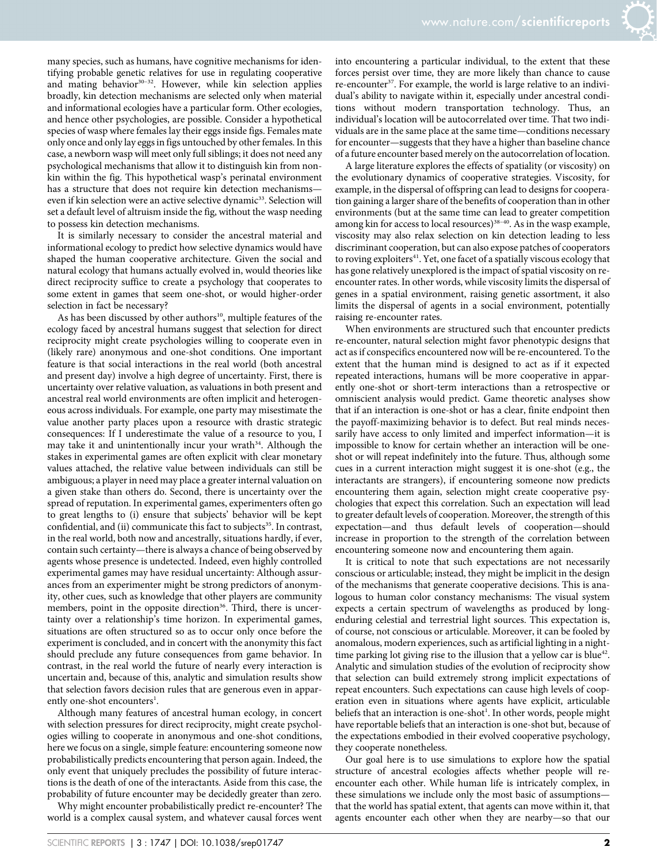many species, such as humans, have cognitive mechanisms for identifying probable genetic relatives for use in regulating cooperative and mating behavior<sup>30-32</sup>. However, while kin selection applies broadly, kin detection mechanisms are selected only when material and informational ecologies have a particular form. Other ecologies, and hence other psychologies, are possible. Consider a hypothetical species of wasp where females lay their eggs inside figs. Females mate only once and only lay eggs in figs untouched by other females. In this case, a newborn wasp will meet only full siblings; it does not need any psychological mechanisms that allow it to distinguish kin from nonkin within the fig. This hypothetical wasp's perinatal environment has a structure that does not require kin detection mechanismseven if kin selection were an active selective dynamic<sup>33</sup>. Selection will set a default level of altruism inside the fig, without the wasp needing to possess kin detection mechanisms.

It is similarly necessary to consider the ancestral material and informational ecology to predict how selective dynamics would have shaped the human cooperative architecture. Given the social and natural ecology that humans actually evolved in, would theories like direct reciprocity suffice to create a psychology that cooperates to some extent in games that seem one-shot, or would higher-order selection in fact be necessary?

As has been discussed by other authors<sup>10</sup>, multiple features of the ecology faced by ancestral humans suggest that selection for direct reciprocity might create psychologies willing to cooperate even in (likely rare) anonymous and one-shot conditions. One important feature is that social interactions in the real world (both ancestral and present day) involve a high degree of uncertainty. First, there is uncertainty over relative valuation, as valuations in both present and ancestral real world environments are often implicit and heterogeneous across individuals. For example, one party may misestimate the value another party places upon a resource with drastic strategic consequences: If I underestimate the value of a resource to you, I may take it and unintentionally incur your wrath<sup>34</sup>. Although the stakes in experimental games are often explicit with clear monetary values attached, the relative value between individuals can still be ambiguous; a player in need may place a greater internal valuation on a given stake than others do. Second, there is uncertainty over the spread of reputation. In experimental games, experimenters often go to great lengths to (i) ensure that subjects' behavior will be kept confidential, and (ii) communicate this fact to subjects<sup>35</sup>. In contrast, in the real world, both now and ancestrally, situations hardly, if ever, contain such certainty—there is always a chance of being observed by agents whose presence is undetected. Indeed, even highly controlled experimental games may have residual uncertainty: Although assurances from an experimenter might be strong predictors of anonymity, other cues, such as knowledge that other players are community members, point in the opposite direction<sup>36</sup>. Third, there is uncertainty over a relationship's time horizon. In experimental games, situations are often structured so as to occur only once before the experiment is concluded, and in concert with the anonymity this fact should preclude any future consequences from game behavior. In contrast, in the real world the future of nearly every interaction is uncertain and, because of this, analytic and simulation results show that selection favors decision rules that are generous even in apparently one-shot encounters<sup>1</sup>.

Although many features of ancestral human ecology, in concert with selection pressures for direct reciprocity, might create psychologies willing to cooperate in anonymous and one-shot conditions, here we focus on a single, simple feature: encountering someone now probabilistically predicts encountering that person again. Indeed, the only event that uniquely precludes the possibility of future interactions is the death of one of the interactants. Aside from this case, the probability of future encounter may be decidedly greater than zero.

Why might encounter probabilistically predict re-encounter? The world is a complex causal system, and whatever causal forces went into encountering a particular individual, to the extent that these forces persist over time, they are more likely than chance to cause re-encounter<sup>37</sup>. For example, the world is large relative to an individual's ability to navigate within it, especially under ancestral conditions without modern transportation technology. Thus, an individual's location will be autocorrelated over time. That two individuals are in the same place at the same time—conditions necessary for encounter—suggests that they have a higher than baseline chance of a future encounter based merely on the autocorrelation of location.

A large literature explores the effects of spatiality (or viscosity) on the evolutionary dynamics of cooperative strategies. Viscosity, for example, in the dispersal of offspring can lead to designs for cooperation gaining a larger share of the benefits of cooperation than in other environments (but at the same time can lead to greater competition among kin for access to local resources)<sup>38-40</sup>. As in the wasp example, viscosity may also relax selection on kin detection leading to less discriminant cooperation, but can also expose patches of cooperators to roving exploiters<sup>41</sup>. Yet, one facet of a spatially viscous ecology that has gone relatively unexplored is the impact of spatial viscosity on reencounter rates. In other words, while viscosity limits the dispersal of genes in a spatial environment, raising genetic assortment, it also limits the dispersal of agents in a social environment, potentially raising re-encounter rates.

When environments are structured such that encounter predicts re-encounter, natural selection might favor phenotypic designs that act as if conspecifics encountered now will be re-encountered. To the extent that the human mind is designed to act as if it expected repeated interactions, humans will be more cooperative in apparently one-shot or short-term interactions than a retrospective or omniscient analysis would predict. Game theoretic analyses show that if an interaction is one-shot or has a clear, finite endpoint then the payoff-maximizing behavior is to defect. But real minds necessarily have access to only limited and imperfect information—it is impossible to know for certain whether an interaction will be oneshot or will repeat indefinitely into the future. Thus, although some cues in a current interaction might suggest it is one-shot (e.g., the interactants are strangers), if encountering someone now predicts encountering them again, selection might create cooperative psychologies that expect this correlation. Such an expectation will lead to greater default levels of cooperation. Moreover, the strength of this expectation—and thus default levels of cooperation—should increase in proportion to the strength of the correlation between encountering someone now and encountering them again.

It is critical to note that such expectations are not necessarily conscious or articulable; instead, they might be implicit in the design of the mechanisms that generate cooperative decisions. This is analogous to human color constancy mechanisms: The visual system expects a certain spectrum of wavelengths as produced by longenduring celestial and terrestrial light sources. This expectation is, of course, not conscious or articulable. Moreover, it can be fooled by anomalous, modern experiences, such as artificial lighting in a nighttime parking lot giving rise to the illusion that a yellow car is blue<sup>42</sup>. Analytic and simulation studies of the evolution of reciprocity show that selection can build extremely strong implicit expectations of repeat encounters. Such expectations can cause high levels of cooperation even in situations where agents have explicit, articulable beliefs that an interaction is one-shot<sup>1</sup>. In other words, people might have reportable beliefs that an interaction is one-shot but, because of the expectations embodied in their evolved cooperative psychology, they cooperate nonetheless.

Our goal here is to use simulations to explore how the spatial structure of ancestral ecologies affects whether people will reencounter each other. While human life is intricately complex, in these simulations we include only the most basic of assumptions that the world has spatial extent, that agents can move within it, that agents encounter each other when they are nearby—so that our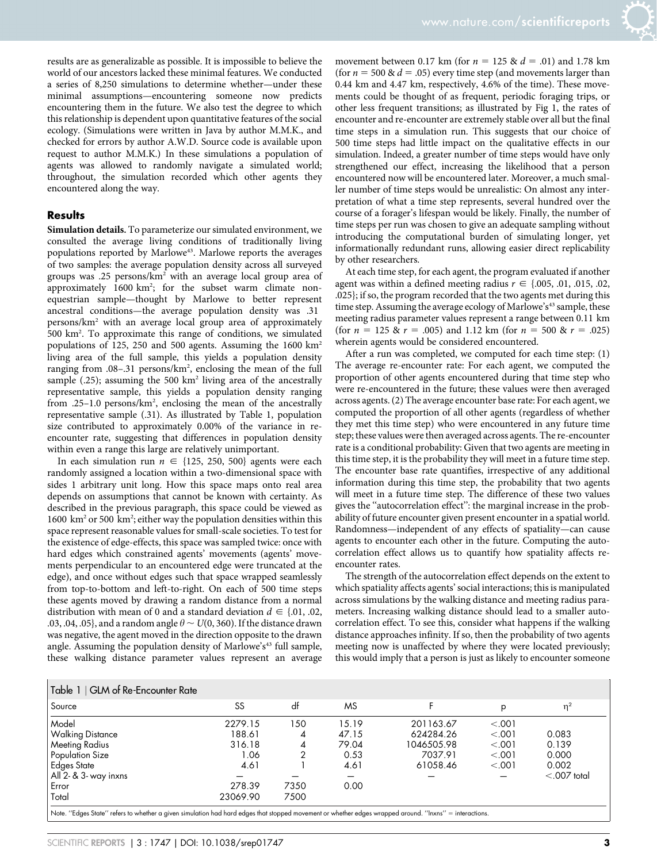results are as generalizable as possible. It is impossible to believe the world of our ancestors lacked these minimal features. We conducted a series of 8,250 simulations to determine whether—under these minimal assumptions—encountering someone now predicts encountering them in the future. We also test the degree to which this relationship is dependent upon quantitative features of the social ecology. (Simulations were written in Java by author M.M.K., and checked for errors by author A.W.D. Source code is available upon request to author M.M.K.) In these simulations a population of agents was allowed to randomly navigate a simulated world; throughout, the simulation recorded which other agents they encountered along the way.

## **Results**

Simulation details. To parameterize our simulated environment, we consulted the average living conditions of traditionally living populations reported by Marlowe<sup>43</sup>. Marlowe reports the averages of two samples: the average population density across all surveyed groups was .25 persons/km2 with an average local group area of approximately 1600 km<sup>2</sup>; for the subset warm climate nonequestrian sample—thought by Marlowe to better represent ancestral conditions—the average population density was .31 persons/km2 with an average local group area of approximately 500 km2 . To approximate this range of conditions, we simulated populations of 125, 250 and 500 agents. Assuming the 1600 km2 living area of the full sample, this yields a population density ranging from .08-.31 persons/km<sup>2</sup>, enclosing the mean of the full sample  $(.25)$ ; assuming the 500 km<sup>2</sup> living area of the ancestrally representative sample, this yields a population density ranging from .25-1.0 persons/km<sup>2</sup>, enclosing the mean of the ancestrally representative sample (.31). As illustrated by Table 1, population size contributed to approximately 0.00% of the variance in reencounter rate, suggesting that differences in population density within even a range this large are relatively unimportant.

In each simulation run  $n \in \{125, 250, 500\}$  agents were each randomly assigned a location within a two-dimensional space with sides 1 arbitrary unit long. How this space maps onto real area depends on assumptions that cannot be known with certainty. As described in the previous paragraph, this space could be viewed as 1600 km<sup>2</sup> or 500 km<sup>2</sup>; either way the population densities within this space represent reasonable values for small-scale societies. To test for the existence of edge-effects, this space was sampled twice: once with hard edges which constrained agents' movements (agents' movements perpendicular to an encountered edge were truncated at the edge), and once without edges such that space wrapped seamlessly from top-to-bottom and left-to-right. On each of 500 time steps these agents moved by drawing a random distance from a normal distribution with mean of 0 and a standard deviation  $d \in \{.01, .02,$ .03, .04, .05}, and a random angle  $\theta \sim U(0, 360)$ . If the distance drawn was negative, the agent moved in the direction opposite to the drawn angle. Assuming the population density of Marlowe's<sup>43</sup> full sample, these walking distance parameter values represent an average movement between 0.17 km (for  $n = 125$  &  $d = .01$ ) and 1.78 km (for  $n = 500 \& d = .05$ ) every time step (and movements larger than 0.44 km and 4.47 km, respectively, 4.6% of the time). These movements could be thought of as frequent, periodic foraging trips, or other less frequent transitions; as illustrated by Fig 1, the rates of encounter and re-encounter are extremely stable over all but the final time steps in a simulation run. This suggests that our choice of 500 time steps had little impact on the qualitative effects in our simulation. Indeed, a greater number of time steps would have only strengthened our effect, increasing the likelihood that a person encountered now will be encountered later. Moreover, a much smaller number of time steps would be unrealistic: On almost any interpretation of what a time step represents, several hundred over the course of a forager's lifespan would be likely. Finally, the number of time steps per run was chosen to give an adequate sampling without introducing the computational burden of simulating longer, yet informationally redundant runs, allowing easier direct replicability by other researchers.

At each time step, for each agent, the program evaluated if another agent was within a defined meeting radius  $r \in \{.005, .01, .015, .02,$ .025}; if so, the program recorded that the two agents met during this time step. Assuming the average ecology of Marlowe's<sup>43</sup> sample, these meeting radius parameter values represent a range between 0.11 km (for  $n = 125 \& r = .005$ ) and 1.12 km (for  $n = 500 \& r = .025$ ) wherein agents would be considered encountered.

After a run was completed, we computed for each time step: (1) The average re-encounter rate: For each agent, we computed the proportion of other agents encountered during that time step who were re-encountered in the future; these values were then averaged across agents. (2) The average encounter base rate: For each agent, we computed the proportion of all other agents (regardless of whether they met this time step) who were encountered in any future time step; these values were then averaged across agents. The re-encounter rate is a conditional probability: Given that two agents are meeting in this time step, it is the probability they will meet in a future time step. The encounter base rate quantifies, irrespective of any additional information during this time step, the probability that two agents will meet in a future time step. The difference of these two values gives the ''autocorrelation effect'': the marginal increase in the probability of future encounter given present encounter in a spatial world. Randomness—independent of any effects of spatiality—can cause agents to encounter each other in the future. Computing the autocorrelation effect allows us to quantify how spatiality affects reencounter rates.

The strength of the autocorrelation effect depends on the extent to which spatiality affects agents' social interactions; this is manipulated across simulations by the walking distance and meeting radius parameters. Increasing walking distance should lead to a smaller autocorrelation effect. To see this, consider what happens if the walking distance approaches infinity. If so, then the probability of two agents meeting now is unaffected by where they were located previously; this would imply that a person is just as likely to encounter someone

| GLM of Re-Encounter Rate<br>Table $1$ |          |      |           |            |         |               |
|---------------------------------------|----------|------|-----------|------------|---------|---------------|
| Source                                | SS       | df   | <b>MS</b> |            | p       | $n^2$         |
| Model                                 | 2279.15  | 150  | 15.19     | 201163.67  | < .001  |               |
| <b>Walking Distance</b>               | 188.61   | 4    | 47.15     | 624284.26  | < .001  | 0.083         |
| Meeting Radius                        | 316.18   |      | 79.04     | 1046505.98 | < .001  | 0.139         |
| <b>Population Size</b>                | 1.06     |      | 0.53      | 7037.91    | < 0.001 | 0.000         |
| Edges State                           | 4.61     |      | 4.61      | 61058.46   | < .001  | 0.002         |
| All 2- & 3- way inxns                 |          |      |           |            |         | $<$ 007 total |
| Error                                 | 278.39   | 7350 | 0.00      |            |         |               |
| Total                                 | 23069.90 | 7500 |           |            |         |               |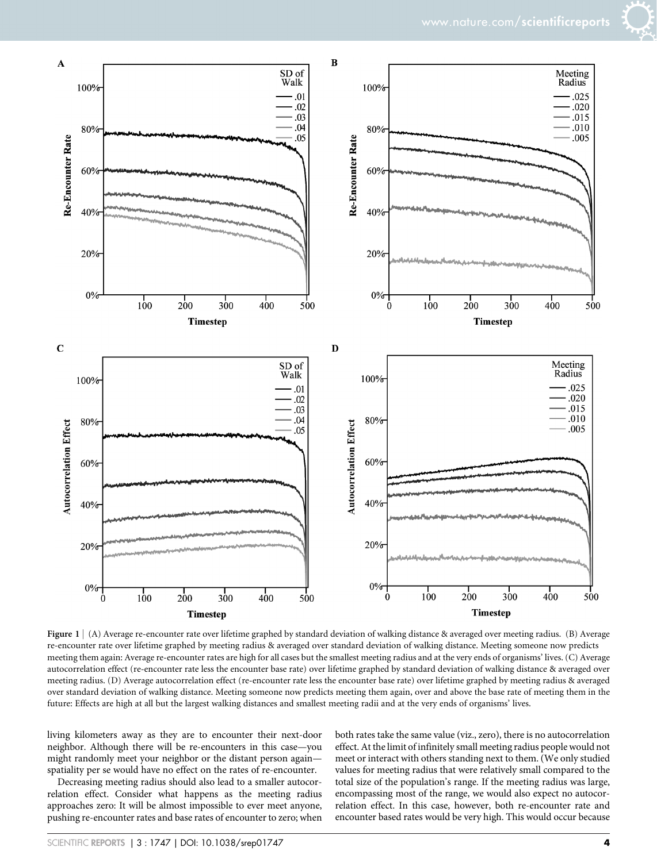

Figure 1 | (A) Average re-encounter rate over lifetime graphed by standard deviation of walking distance & averaged over meeting radius. (B) Average re-encounter rate over lifetime graphed by meeting radius & averaged over standard deviation of walking distance. Meeting someone now predicts meeting them again: Average re-encounter rates are high for all cases but the smallest meeting radius and at the very ends of organisms' lives. (C) Average autocorrelation effect (re-encounter rate less the encounter base rate) over lifetime graphed by standard deviation of walking distance & averaged over meeting radius. (D) Average autocorrelation effect (re-encounter rate less the encounter base rate) over lifetime graphed by meeting radius & averaged over standard deviation of walking distance. Meeting someone now predicts meeting them again, over and above the base rate of meeting them in the future: Effects are high at all but the largest walking distances and smallest meeting radii and at the very ends of organisms' lives.

living kilometers away as they are to encounter their next-door neighbor. Although there will be re-encounters in this case—you might randomly meet your neighbor or the distant person again spatiality per se would have no effect on the rates of re-encounter.

Decreasing meeting radius should also lead to a smaller autocorrelation effect. Consider what happens as the meeting radius approaches zero: It will be almost impossible to ever meet anyone, pushing re-encounter rates and base rates of encounter to zero; when both rates take the same value (viz., zero), there is no autocorrelation effect. At the limit of infinitely small meeting radius people would not meet or interact with others standing next to them. (We only studied values for meeting radius that were relatively small compared to the total size of the population's range. If the meeting radius was large, encompassing most of the range, we would also expect no autocorrelation effect. In this case, however, both re-encounter rate and encounter based rates would be very high. This would occur because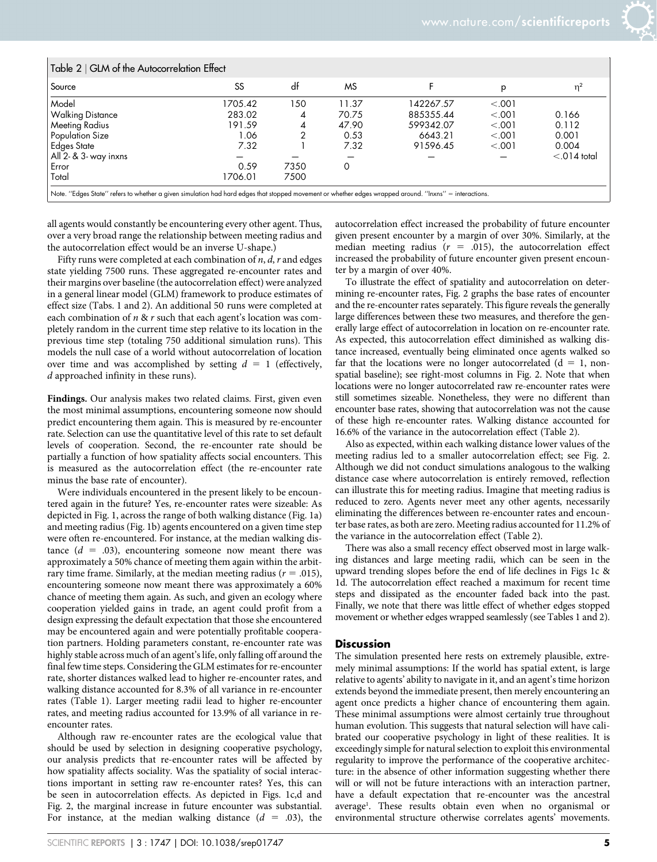| Source                  | SS      | df   | ΜS       |           | р       |               |
|-------------------------|---------|------|----------|-----------|---------|---------------|
| Model                   | 1705.42 | 50   | 11.37    | 142267.57 | < 0.001 |               |
| <b>Walking Distance</b> | 283.02  | 4    | 70.75    | 885355.44 | < .001  | 0.166         |
| <b>Meeting Radius</b>   | 191.59  | 4    | 47.90    | 599342.07 | < .001  | 0.112         |
| <b>Population Size</b>  | l.06    | 2    | 0.53     | 6643.21   | < .001  | 0.001         |
| Edges State             | 7.32    |      | 7.32     | 91596.45  | < 0.001 | 0.004         |
| All 2- & 3- way inxns   |         |      |          |           |         | $< 014$ total |
| Error                   | 0.59    | 7350 | $\Omega$ |           |         |               |
| Total                   | 1706.01 | 7500 |          |           |         |               |

all agents would constantly be encountering every other agent. Thus, over a very broad range the relationship between meeting radius and the autocorrelation effect would be an inverse U-shape.)

Fifty runs were completed at each combination of  $n$ ,  $d$ ,  $r$  and edges state yielding 7500 runs. These aggregated re-encounter rates and their margins over baseline (the autocorrelation effect) were analyzed in a general linear model (GLM) framework to produce estimates of effect size (Tabs. 1 and 2). An additional 50 runs were completed at each combination of  $n \& r$  such that each agent's location was completely random in the current time step relative to its location in the previous time step (totaling 750 additional simulation runs). This models the null case of a world without autocorrelation of location over time and was accomplished by setting  $d = 1$  (effectively, d approached infinity in these runs).

Findings. Our analysis makes two related claims. First, given even the most minimal assumptions, encountering someone now should predict encountering them again. This is measured by re-encounter rate. Selection can use the quantitative level of this rate to set default levels of cooperation. Second, the re-encounter rate should be partially a function of how spatiality affects social encounters. This is measured as the autocorrelation effect (the re-encounter rate minus the base rate of encounter).

Were individuals encountered in the present likely to be encountered again in the future? Yes, re-encounter rates were sizeable: As depicted in Fig. 1, across the range of both walking distance (Fig. 1a) and meeting radius (Fig. 1b) agents encountered on a given time step were often re-encountered. For instance, at the median walking distance  $(d = .03)$ , encountering someone now meant there was approximately a 50% chance of meeting them again within the arbitrary time frame. Similarly, at the median meeting radius ( $r = .015$ ), encountering someone now meant there was approximately a 60% chance of meeting them again. As such, and given an ecology where cooperation yielded gains in trade, an agent could profit from a design expressing the default expectation that those she encountered may be encountered again and were potentially profitable cooperation partners. Holding parameters constant, re-encounter rate was highly stable across much of an agent's life, only falling off around the final few time steps. Considering the GLM estimates for re-encounter rate, shorter distances walked lead to higher re-encounter rates, and walking distance accounted for 8.3% of all variance in re-encounter rates (Table 1). Larger meeting radii lead to higher re-encounter rates, and meeting radius accounted for 13.9% of all variance in reencounter rates.

Although raw re-encounter rates are the ecological value that should be used by selection in designing cooperative psychology, our analysis predicts that re-encounter rates will be affected by how spatiality affects sociality. Was the spatiality of social interactions important in setting raw re-encounter rates? Yes, this can be seen in autocorrelation effects. As depicted in Figs. 1c,d and Fig. 2, the marginal increase in future encounter was substantial. For instance, at the median walking distance  $(d = .03)$ , the autocorrelation effect increased the probability of future encounter given present encounter by a margin of over 30%. Similarly, at the median meeting radius ( $r = .015$ ), the autocorrelation effect increased the probability of future encounter given present encounter by a margin of over 40%.

To illustrate the effect of spatiality and autocorrelation on determining re-encounter rates, Fig. 2 graphs the base rates of encounter and the re-encounter rates separately. This figure reveals the generally large differences between these two measures, and therefore the generally large effect of autocorrelation in location on re-encounter rate. As expected, this autocorrelation effect diminished as walking distance increased, eventually being eliminated once agents walked so far that the locations were no longer autocorrelated  $(d = 1, non$ spatial baseline); see right-most columns in Fig. 2. Note that when locations were no longer autocorrelated raw re-encounter rates were still sometimes sizeable. Nonetheless, they were no different than encounter base rates, showing that autocorrelation was not the cause of these high re-encounter rates. Walking distance accounted for 16.6% of the variance in the autocorrelation effect (Table 2).

Also as expected, within each walking distance lower values of the meeting radius led to a smaller autocorrelation effect; see Fig. 2. Although we did not conduct simulations analogous to the walking distance case where autocorrelation is entirely removed, reflection can illustrate this for meeting radius. Imagine that meeting radius is reduced to zero. Agents never meet any other agents, necessarily eliminating the differences between re-encounter rates and encounter base rates, as both are zero. Meeting radius accounted for 11.2% of the variance in the autocorrelation effect (Table 2).

There was also a small recency effect observed most in large walking distances and large meeting radii, which can be seen in the upward trending slopes before the end of life declines in Figs 1c & 1d. The autocorrelation effect reached a maximum for recent time steps and dissipated as the encounter faded back into the past. Finally, we note that there was little effect of whether edges stopped movement or whether edges wrapped seamlessly (see Tables 1 and 2).

# **Discussion**

The simulation presented here rests on extremely plausible, extremely minimal assumptions: If the world has spatial extent, is large relative to agents' ability to navigate in it, and an agent's time horizon extends beyond the immediate present, then merely encountering an agent once predicts a higher chance of encountering them again. These minimal assumptions were almost certainly true throughout human evolution. This suggests that natural selection will have calibrated our cooperative psychology in light of these realities. It is exceedingly simple for natural selection to exploit this environmental regularity to improve the performance of the cooperative architecture: in the absence of other information suggesting whether there will or will not be future interactions with an interaction partner, have a default expectation that re-encounter was the ancestral average<sup>1</sup>. These results obtain even when no organismal or environmental structure otherwise correlates agents' movements.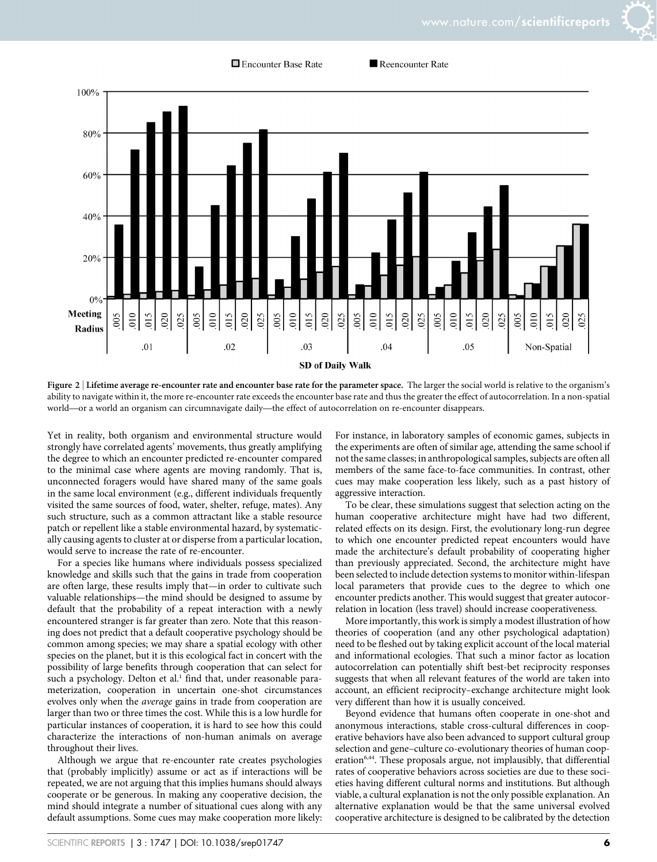Encounter Base Rate

Reencounter Rate



Figure 2 | Lifetime average re-encounter rate and encounter base rate for the parameter space. The larger the social world is relative to the organism's ability to navigate within it, the more re-encounter rate exceeds the encounter base rate and thus the greater the effect of autocorrelation. In a non-spatial world—or a world an organism can circumnavigate daily—the effect of autocorrelation on re-encounter disappears.

Yet in reality, both organism and environmental structure would strongly have correlated agents' movements, thus greatly amplifying the degree to which an encounter predicted re-encounter compared to the minimal case where agents are moving randomly. That is, unconnected foragers would have shared many of the same goals in the same local environment (e.g., different individuals frequently visited the same sources of food, water, shelter, refuge, mates). Any such structure, such as a common attractant like a stable resource patch or repellent like a stable environmental hazard, by systematically causing agents to cluster at or disperse from a particular location, would serve to increase the rate of re-encounter.

For a species like humans where individuals possess specialized knowledge and skills such that the gains in trade from cooperation are often large, these results imply that—in order to cultivate such valuable relationships—the mind should be designed to assume by default that the probability of a repeat interaction with a newly encountered stranger is far greater than zero. Note that this reasoning does not predict that a default cooperative psychology should be common among species; we may share a spatial ecology with other species on the planet, but it is this ecological fact in concert with the possibility of large benefits through cooperation that can select for such a psychology. Delton et al.<sup>1</sup> find that, under reasonable parameterization, cooperation in uncertain one-shot circumstances evolves only when the average gains in trade from cooperation are larger than two or three times the cost. While this is a low hurdle for particular instances of cooperation, it is hard to see how this could characterize the interactions of non-human animals on average throughout their lives.

Although we argue that re-encounter rate creates psychologies that (probably implicitly) assume or act as if interactions will be repeated, we are not arguing that this implies humans should always cooperate or be generous. In making any cooperative decision, the mind should integrate a number of situational cues along with any default assumptions. Some cues may make cooperation more likely:

For instance, in laboratory samples of economic games, subjects in the experiments are often of similar age, attending the same school if not the same classes; in anthropological samples, subjects are often all members of the same face-to-face communities. In contrast, other cues may make cooperation less likely, such as a past history of aggressive interaction.

To be clear, these simulations suggest that selection acting on the human cooperative architecture might have had two different, related effects on its design. First, the evolutionary long-run degree to which one encounter predicted repeat encounters would have made the architecture's default probability of cooperating higher than previously appreciated. Second, the architecture might have been selected to include detection systems to monitor within-lifespan local parameters that provide cues to the degree to which one encounter predicts another. This would suggest that greater autocorrelation in location (less travel) should increase cooperativeness.

More importantly, this work is simply a modest illustration of how theories of cooperation (and any other psychological adaptation) need to be fleshed out by taking explicit account of the local material and informational ecologies. That such a minor factor as location autocorrelation can potentially shift best-bet reciprocity responses suggests that when all relevant features of the world are taken into account, an efficient reciprocity–exchange architecture might look very different than how it is usually conceived.

Beyond evidence that humans often cooperate in one-shot and anonymous interactions, stable cross-cultural differences in cooperative behaviors have also been advanced to support cultural group selection and gene–culture co-evolutionary theories of human cooperation $6,44$ . These proposals argue, not implausibly, that differential rates of cooperative behaviors across societies are due to these societies having different cultural norms and institutions. But although viable, a cultural explanation is not the only possible explanation. An alternative explanation would be that the same universal evolved cooperative architecture is designed to be calibrated by the detection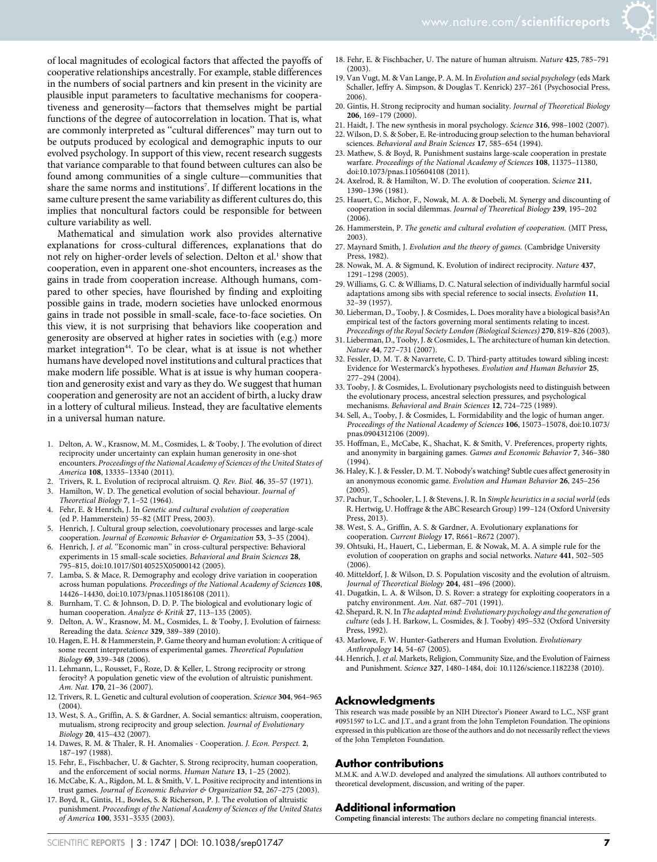

Mathematical and simulation work also provides alternative explanations for cross-cultural differences, explanations that do not rely on higher-order levels of selection. Delton et al.<sup>1</sup> show that cooperation, even in apparent one-shot encounters, increases as the gains in trade from cooperation increase. Although humans, compared to other species, have flourished by finding and exploiting possible gains in trade, modern societies have unlocked enormous gains in trade not possible in small-scale, face-to-face societies. On this view, it is not surprising that behaviors like cooperation and generosity are observed at higher rates in societies with (e.g.) more market integration<sup>44</sup>. To be clear, what is at issue is not whether humans have developed novel institutions and cultural practices that make modern life possible. What is at issue is why human cooperation and generosity exist and vary as they do. We suggest that human cooperation and generosity are not an accident of birth, a lucky draw in a lottery of cultural milieus. Instead, they are facultative elements in a universal human nature.

- 1. Delton, A. W., Krasnow, M. M., Cosmides, L. & Tooby, J. The evolution of direct reciprocity under uncertainty can explain human generosity in one-shot encounters. Proceedings of the National Academy of Sciences of the United States of America 108, 13335–13340 (2011).
- 2. Trivers, R. L. Evolution of reciprocal altruism. Q. Rev. Biol. 46, 35–57 (1971). 3. Hamilton, W. D. The genetical evolution of social behaviour. Journal of
- Theoretical Biology 7, 1-52 (1964). Fehr, E. & Henrich, J. In Genetic and cultural evolution of cooperation
- (ed P. Hammerstein) 55–82 (MIT Press, 2003). 5. Henrich, J. Cultural group selection, coevolutionary processes and large-scale
- cooperation. Journal of Economic Behavior & Organization 53, 3-35 (2004).
- 6. Henrich, J. et al. ''Economic man'' in cross-cultural perspective: Behavioral experiments in 15 small-scale societies. Behavioral and Brain Sciences 28, 795–815, doi:10.1017/S0140525X05000142 (2005).
- 7. Lamba, S. & Mace, R. Demography and ecology drive variation in cooperation across human populations. Proceedings of the National Academy of Sciences 108, 14426–14430, doi:10.1073/pnas.1105186108 (2011).
- Burnham, T. C. & Johnson, D. D. P. The biological and evolutionary logic of human cooperation. Analyze & Kritik 27, 113-135 (2005).
- 9. Delton, A. W., Krasnow, M. M., Cosmides, L. & Tooby, J. Evolution of fairness: Rereading the data. Science 329, 389–389 (2010).
- 10. Hagen, E. H. & Hammerstein, P. Game theory and human evolution: A critique of some recent interpretations of experimental games. Theoretical Population Biology 69, 339–348 (2006).
- 11. Lehmann, L., Rousset, F., Roze, D. & Keller, L. Strong reciprocity or strong ferocity? A population genetic view of the evolution of altruistic punishment. Am. Nat. 170, 21–36 (2007).
- 12. Trivers, R. L. Genetic and cultural evolution of cooperation. Science 304, 964–965 (2004).
- 13. West, S. A., Griffin, A. S. & Gardner, A. Social semantics: altruism, cooperation, mutualism, strong reciprocity and group selection. Journal of Evolutionary Biology 20, 415–432 (2007).
- 14. Dawes, R. M. & Thaler, R. H. Anomalies Cooperation. J. Econ. Perspect. 2, 187–197 (1988).
- 15. Fehr, E., Fischbacher, U. & Gachter, S. Strong reciprocity, human cooperation, and the enforcement of social norms. Human Nature 13, 1–25 (2002).
- 16. McCabe, K. A., Rigdon, M. L. & Smith, V. L. Positive reciprocity and intentions in trust games. Journal of Economic Behavior & Organization 52, 267-275 (2003).
- 17. Boyd, R., Gintis, H., Bowles, S. & Richerson, P. J. The evolution of altruistic punishment. Proceedings of the National Academy of Sciences of the United States of America 100, 3531–3535 (2003).
- 18. Fehr, E. & Fischbacher, U. The nature of human altruism. Nature 425, 785–791  $(2003)$
- 19. Van Vugt, M. & Van Lange, P. A. M. In Evolution and social psychology (eds Mark Schaller, Jeffry A. Simpson, & Douglas T. Kenrick) 237–261 (Psychosocial Press, 2006).
- 20. Gintis, H. Strong reciprocity and human sociality. Journal of Theoretical Biology 206, 169–179 (2000).
- 21. Haidt, J. The new synthesis in moral psychology. Science 316, 998–1002 (2007). 22. Wilson, D. S. & Sober, E. Re-introducing group selection to the human behavioral
- sciences. Behavioral and Brain Sciences 17, 585–654 (1994).
- 23. Mathew, S. & Boyd, R. Punishment sustains large-scale cooperation in prestate warfare. Proceedings of the National Academy of Sciences 108, 11375–11380, doi:10.1073/pnas.1105604108 (2011).
- 24. Axelrod, R. & Hamilton, W. D. The evolution of cooperation. Science 211, 1390–1396 (1981).
- 25. Hauert, C., Michor, F., Nowak, M. A. & Doebeli, M. Synergy and discounting of cooperation in social dilemmas. Journal of Theoretical Biology 239, 195–202 (2006).
- 26. Hammerstein, P. The genetic and cultural evolution of cooperation. (MIT Press, 2003).
- 27. Maynard Smith, J. Evolution and the theory of games. (Cambridge University Press, 1982).
- 28. Nowak, M. A. & Sigmund, K. Evolution of indirect reciprocity. Nature 437, 1291–1298 (2005).
- 29. Williams, G. C. & Williams, D. C. Natural selection of individually harmful social adaptations among sibs with special reference to social insects. Evolution 11, 32–39 (1957).
- 30. Lieberman, D., Tooby, J. & Cosmides, L. Does morality have a biological basis?An empirical test of the factors governing moral sentiments relating to incest. Proceedings of the Royal Society London (Biological Sciences) 270, 819–826 (2003).
- 31. Lieberman, D., Tooby, J. & Cosmides, L. The architecture of human kin detection. Nature 44, 727–731 (2007).
- 32. Fessler, D. M. T. & Navarrete, C. D. Third-party attitudes toward sibling incest: Evidence for Westermarck's hypotheses. Evolution and Human Behavior 25, 277–294 (2004).
- 33. Tooby, J. & Cosmides, L. Evolutionary psychologists need to distinguish between the evolutionary process, ancestral selection pressures, and psychological mechanisms. Behavioral and Brain Sciences 12, 724–725 (1989).
- 34. Sell, A., Tooby, J. & Cosmides, L. Formidability and the logic of human anger. Proceedings of the National Academy of Sciences 106, 15073–15078, doi:10.1073/ pnas.0904312106 (2009).
- 35. Hoffman, E., McCabe, K., Shachat, K. & Smith, V. Preferences, property rights, and anonymity in bargaining games. Games and Economic Behavior 7, 346–380  $(1994)$
- 36. Haley, K. J. & Fessler, D. M. T. Nobody's watching? Subtle cues affect generosity in an anonymous economic game. Evolution and Human Behavior 26, 245–256  $(2005)$
- 37. Pachur, T., Schooler, L. J. & Stevens, J. R. In Simple heuristics in a social world (eds R. Hertwig, U. Hoffrage & the ABC Research Group) 199–124 (Oxford University Press, 2013).
- 38. West, S. A., Griffin, A. S. & Gardner, A. Evolutionary explanations for cooperation. Current Biology 17, R661–R672 (2007).
- 39. Ohtsuki, H., Hauert, C., Lieberman, E. & Nowak, M. A. A simple rule for the evolution of cooperation on graphs and social networks. Nature 441, 502–505 (2006).
- 40. Mitteldorf, J. & Wilson, D. S. Population viscosity and the evolution of altruism. Journal of Theoretical Biology 204, 481–496 (2000).
- 41. Dugatkin, L. A. & Wilson, D. S. Rover: a strategy for exploiting cooperators in a patchy environment. Am. Nat. 687–701 (1991).
- 42. Shepard, R. N. In The adapted mind: Evolutionary psychology and the generation of culture (eds J. H. Barkow, L. Cosmides, & J. Tooby) 495–532 (Oxford University Press, 1992).
- 43. Marlowe, F. W. Hunter-Gatherers and Human Evolution. Evolutionary Anthropology 14, 54–67 (2005).
- 44. Henrich, J. et al. Markets, Religion, Community Size, and the Evolution of Fairness and Punishment. Science 327, 1480–1484, doi: 10.1126/science.1182238 (2010).

### Acknowledgments

This research was made possible by an NIH Director's Pioneer Award to L.C., NSF grant #0951597 to L.C. and J.T., and a grant from the John Templeton Foundation. The opinions expressed in this publication are those of the authors and do not necessarily reflect the views of the John Templeton Foundation.

### Author contributions

M.M.K. and A.W.D. developed and analyzed the simulations. All authors contributed to theoretical development, discussion, and writing of the paper.

#### Additional information

Competing financial interests: The authors declare no competing financial interests.